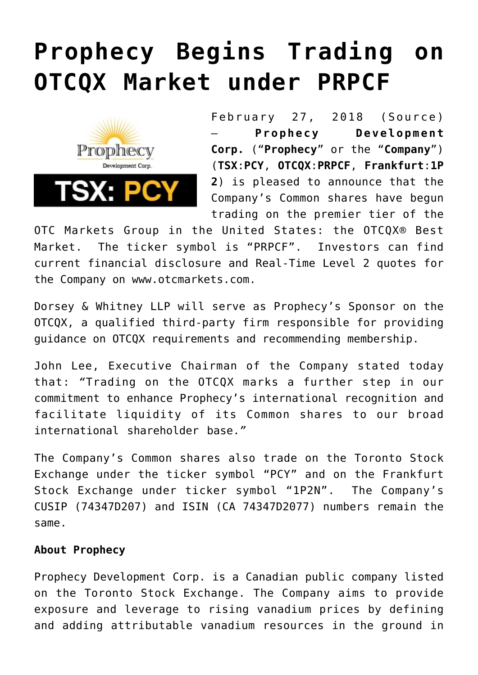## **[Prophecy Begins Trading on](https://investorintel.com/markets/technology-metals/technology-metals-news/prophecy-begins-trading-otcqx-market-prpcf/) [OTCQX Market under PRPCF](https://investorintel.com/markets/technology-metals/technology-metals-news/prophecy-begins-trading-otcqx-market-prpcf/)**



February 27, 2018 (Source) — **Prophecy Development Corp.** ("**Prophecy**" or the "**Company**") (**TSX**:**PCY**, **OTCQX**:**PRPCF**, **Frankfurt**:**1P 2**) is pleased to announce that the Company's Common shares have begun trading on the premier tier of the

OTC Markets Group in the United States: the OTCQX® Best Market. The ticker symbol is "PRPCF". Investors can find current financial disclosure and Real-Time Level 2 quotes for the Company on [www.otcmarkets.com.](http://www.otcmarkets.com/)

Dorsey & Whitney LLP will serve as Prophecy's Sponsor on the OTCQX, a qualified third-party firm responsible for providing guidance on OTCQX requirements and recommending membership.

John Lee, Executive Chairman of the Company stated today that: *"*Trading on the OTCQX marks a further step in our commitment to enhance Prophecy's international recognition and facilitate liquidity of its Common shares to our broad international shareholder base.*"*

The Company's Common shares also trade on the Toronto Stock Exchange under the ticker symbol "PCY" and on the Frankfurt Stock Exchange under ticker symbol "1P2N". The Company's CUSIP (74347D207) and ISIN (CA 74347D2077) numbers remain the same.

## **About Prophecy**

Prophecy Development Corp. is a Canadian public company listed on the Toronto Stock Exchange. The Company aims to provide exposure and leverage to rising vanadium prices by defining and adding attributable vanadium resources in the ground in